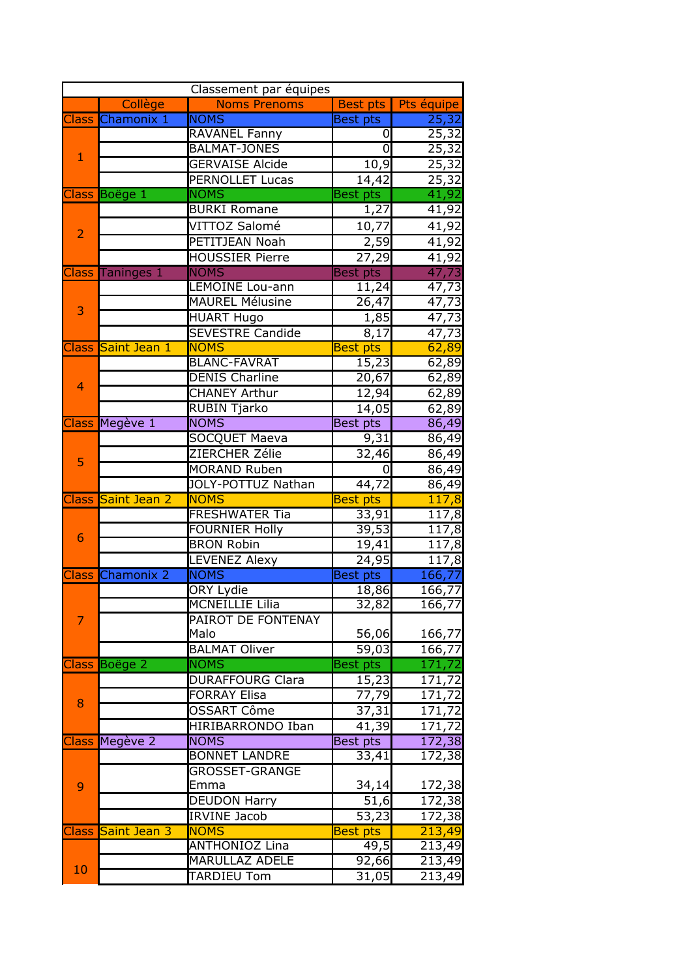| Classement par équipes |                    |                         |                     |                     |  |  |
|------------------------|--------------------|-------------------------|---------------------|---------------------|--|--|
|                        | Collège            | <b>Noms Prenoms</b>     | <b>Best pts</b>     | Pts équipe          |  |  |
|                        | Class Chamonix 1   | <b>NOMS</b>             | <b>Best pts</b>     | 25,32               |  |  |
|                        |                    | RAVANEL Fanny           | 0                   | 25,32               |  |  |
| $\mathbf{1}$           |                    | <b>BALMAT-JONES</b>     | 0                   | 25,32               |  |  |
|                        |                    | <b>GERVAISE Alcide</b>  | 10,9                | 25,32               |  |  |
|                        |                    | <b>PERNOLLET Lucas</b>  | 14,42               | 25,32               |  |  |
|                        | Class Boëge 1      | <b>NOMS</b>             | <b>Best</b> pts     | 41,92               |  |  |
|                        |                    | <b>BURKI Romane</b>     | 1,27                | 41,92               |  |  |
|                        |                    | VITTOZ Salomé           | 10,77               | 41,92               |  |  |
| $\overline{2}$         |                    | PETITJEAN Noah          | 2,59                | 41,92               |  |  |
|                        |                    | <b>HOUSSIER Pierre</b>  | $\overline{2}$ 7,29 | 41,92               |  |  |
|                        | Class Taninges 1   | <b>NOMS</b>             | <b>Best pts</b>     | 47,73               |  |  |
|                        |                    | <b>LEMOINE Lou-ann</b>  | 11,24               | 47,73               |  |  |
|                        |                    | <b>MAUREL Mélusine</b>  | 26,47               | 47,73               |  |  |
| 3                      |                    | <b>HUART Hugo</b>       | 1,85                | 47,73               |  |  |
|                        |                    | <b>SEVESTRE Candide</b> | 8,17                | 47,73               |  |  |
|                        | Class Saint Jean 1 | <b>NOMS</b>             | <b>Best pts</b>     | 62,89               |  |  |
|                        |                    | <b>BLANC-FAVRAT</b>     | 15,23               | 62,89               |  |  |
|                        |                    | <b>DENIS Charline</b>   | 20,67               | 62,89               |  |  |
| $\overline{4}$         |                    | <b>CHANEY Arthur</b>    | 12,94               | 62,89               |  |  |
|                        |                    | <b>RUBIN Tjarko</b>     | 14,05               | 62,89               |  |  |
|                        | Class Megève 1     | <b>NOMS</b>             | <b>Best pts</b>     | 86,49               |  |  |
|                        |                    | <b>SOCQUET Maeva</b>    | 9,31                | 86,49               |  |  |
|                        |                    | ZIERCHER Zélie          | 32,46               | 86,49               |  |  |
| 5                      |                    | <b>MORAND Ruben</b>     | 0                   | 86,49               |  |  |
|                        |                    | JOLY-POTTUZ Nathan      | 44,72               | 86,49               |  |  |
| <b>Class</b>           | Saint Jean 2       | <b>NOMS</b>             | <b>Best pts</b>     | 117,8               |  |  |
|                        |                    | <b>FRESHWATER Tia</b>   | 33,91               | 117,8               |  |  |
|                        |                    | <b>FOURNIER Holly</b>   | 39,53               | 117,8               |  |  |
| 6                      |                    | <b>BRON Robin</b>       | 19,41               | 117,8               |  |  |
|                        |                    | <b>LEVENEZ Alexy</b>    | 24,95               | 117,8               |  |  |
| <b>Class</b>           | <b>Chamonix 2</b>  | <b>NOMS</b>             | <b>Best pts</b>     | 166,77              |  |  |
|                        |                    | <b>ORY Lydie</b>        | 18,86               | 166,77              |  |  |
|                        |                    | MCNEILLIE Lilia         | 32,82               | 166,77              |  |  |
| 7                      |                    | PAIROT DE FONTENAY      |                     |                     |  |  |
|                        |                    | Malo                    | 56,06               | 166,77              |  |  |
|                        |                    | <b>BALMAT Oliver</b>    | $\overline{5}9,03$  | 166,77              |  |  |
| <b>Class</b>           | Boëge 2            | <b>NOMS</b>             | <b>Best pts</b>     | 171,72              |  |  |
|                        |                    | <b>DURAFFOURG Clara</b> | 15,23               | 171,72              |  |  |
| 8                      |                    | <b>FORRAY Elisa</b>     | 77,79               | 171,72              |  |  |
|                        |                    | OSSART Côme             | 37,31               | $\overline{171,72}$ |  |  |
|                        |                    | HIRIBARRONDO Iban       | 41,39               | 171,72              |  |  |
| <b>Class</b>           | Megève 2           | <b>NOMS</b>             | Best pts            | 172,38              |  |  |
|                        |                    | <b>BONNET LANDRE</b>    | 33,41               | 172,38              |  |  |
| 9                      |                    | <b>GROSSET-GRANGE</b>   |                     |                     |  |  |
|                        |                    | Emma                    | 34,14               | 172,38              |  |  |
|                        |                    | <b>DEUDON Harry</b>     | 51,6                | 172,38              |  |  |
|                        |                    | <b>IRVINE Jacob</b>     | 53,23               | 172,38              |  |  |
| <b>Class</b>           | Saint Jean 3       | <b>NOMS</b>             | <b>Best</b> pts     | 213,49              |  |  |
| 10                     |                    | <b>ANTHONIOZ Lina</b>   | 49,5                | 213,49              |  |  |
|                        |                    | <b>MARULLAZ ADELE</b>   | 92,66               | 213,49              |  |  |
|                        |                    | <b>TARDIEU Tom</b>      | 31,05               | 213,49              |  |  |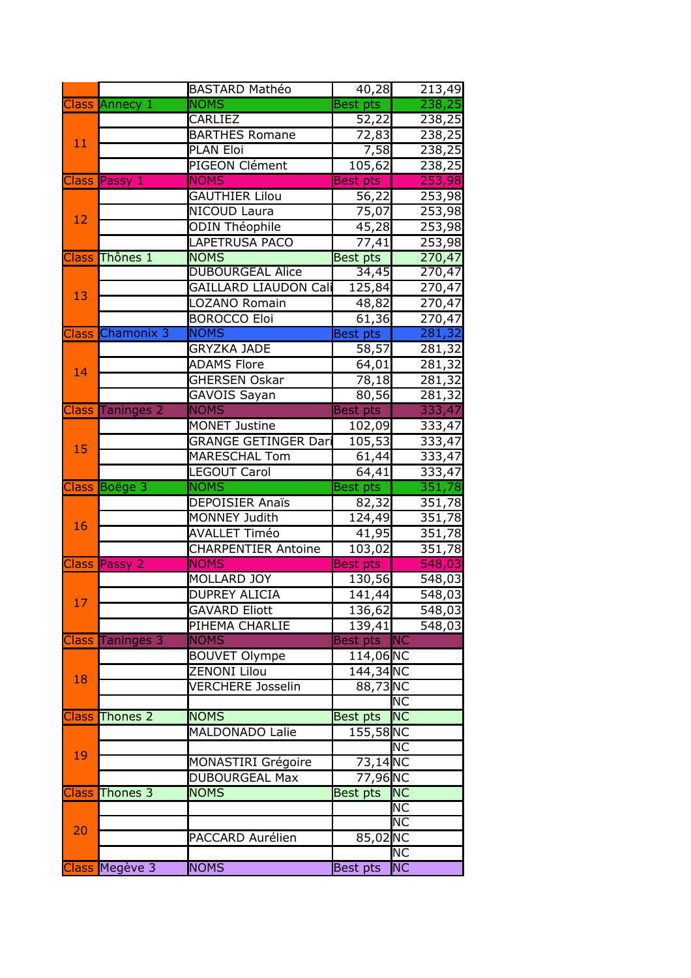|                       |                         | <b>BASTARD Mathéo</b>              | 40,28               | 213,49                   |
|-----------------------|-------------------------|------------------------------------|---------------------|--------------------------|
|                       | Class Annecy 1          | <b>NOMS</b>                        | <b>Best pts</b>     | 238,25                   |
| 11                    |                         | <b>CARLIEZ</b>                     | 52,22               | 238,25                   |
|                       |                         | <b>BARTHES Romane</b>              | $\overline{7}$ 2,83 | 238,25                   |
|                       |                         | PLAN Eloi                          | 7,58                | 238,25                   |
|                       |                         | PIGEON Clément                     | 105,62              | 238,25                   |
|                       | Class Passy 1           | <b>NOMS</b>                        | <b>Best</b> pts     | 253,98                   |
|                       |                         | <b>GAUTHIER Lilou</b>              | $\overline{56,22}$  | 253,98                   |
|                       |                         | <b>NICOUD Laura</b>                | 75,07               | 253,98                   |
| 12                    |                         | <b>ODIN Théophile</b>              | 45,28               | 253,98                   |
|                       |                         | <b>LAPETRUSA PACO</b>              | 77,41               | 253,98                   |
|                       | Class Thônes 1          | <b>NOMS</b>                        | Best pts            | 270,47                   |
|                       |                         | <b>DUBOURGEAL Alice</b>            | 34,45               | 270,47                   |
| 13                    |                         | <b>GAILLARD LIAUDON Cali</b>       | 125,84              | 270,47                   |
|                       |                         | LOZANO Romain                      | 48,82               | 270,47                   |
|                       |                         | <b>BOROCCO Eloi</b>                | 61,36               | 270,47                   |
|                       | Class Chamonix 3        | <b>NOMS</b>                        | Best pts            | 281,32                   |
|                       |                         | <b>GRYZKA JADE</b>                 | $\overline{58,57}$  | 281,32                   |
| 14                    |                         | <b>ADAMS Flore</b>                 | 64,01               | 281,32                   |
|                       |                         | <b>GHERSEN Oskar</b>               | 78,18               | 281,32                   |
|                       |                         | GAVOIS Sayan                       | 80,56               | 281,32                   |
|                       | <b>Class Taninges 2</b> | <b>NOMS</b>                        | <b>Best pts</b>     | 333,47                   |
|                       |                         | <b>MONET Justine</b>               | 102,09              | 333,47                   |
| 15                    |                         | <b>GRANGE GETINGER Dari</b>        | 105,53              | 333,47                   |
|                       |                         | <b>MARESCHAL Tom</b>               | 61,44               | 333,47                   |
|                       | Class Boëge 3           | <b>LEGOUT Carol</b><br><b>NOMS</b> | 64,41<br>Best pts   | 333,47<br>351,78         |
|                       |                         | <b>DEPOISIER Anaïs</b>             |                     | 351,78                   |
|                       |                         | <b>MONNEY Judith</b>               | 82,32<br>124,49     | 351,78                   |
| 16                    |                         | <b>AVALLET Timéo</b>               | 41,95               | 351,78                   |
|                       |                         | <b>CHARPENTIER Antoine</b>         | 103,02              | 351,78                   |
|                       | <b>Class Passy 2</b>    | <b>NOMS</b>                        | <b>Best pts</b>     | 548,03                   |
|                       |                         | <b>MOLLARD JOY</b>                 | 130,56              | 548,03                   |
|                       |                         | <b>DUPREY ALICIA</b>               | 141,44              | 548,03                   |
| 17                    |                         | <b>GAVARD Eliott</b>               | 136,62              | 548,03                   |
|                       |                         | PIHEMA CHARLIE                     | 139,41              | 548,03                   |
| <b>Class</b>          | Taninges 3              | <b>NOMS</b>                        | Best pts            | <b>NC</b>                |
|                       |                         | <b>BOUVET Olympe</b>               | 114,06NC            |                          |
| 18                    |                         | ZENONI Lilou                       | 144,34NC            |                          |
|                       |                         | <b>VERCHERE Josselin</b>           | 88,73NC             |                          |
|                       |                         |                                    |                     | NC                       |
| <b>Class Thones 2</b> |                         |                                    |                     |                          |
|                       |                         | <b>NOMS</b>                        | <b>Best pts</b>     | NC                       |
|                       |                         | <b>MALDONADO Lalie</b>             | 155,58NC            |                          |
|                       |                         |                                    |                     | ΙNC                      |
| 19                    |                         | MONASTIRI Grégoire                 | 73,14 NC            |                          |
|                       |                         | <b>DUBOURGEAL Max</b>              | 77,96 NC            |                          |
|                       | <b>Class Thones 3</b>   | <b>NOMS</b>                        | Best pts            | NC                       |
|                       |                         |                                    |                     | $\overline{\textsf{NC}}$ |
| 20                    |                         |                                    |                     | $\overline{\textsf{NC}}$ |
|                       |                         | PACCARD Aurélien                   | 85,02NC             |                          |
|                       | Class Megève 3          | <b>NOMS</b>                        | Best pts            | ΝC<br><b>NC</b>          |